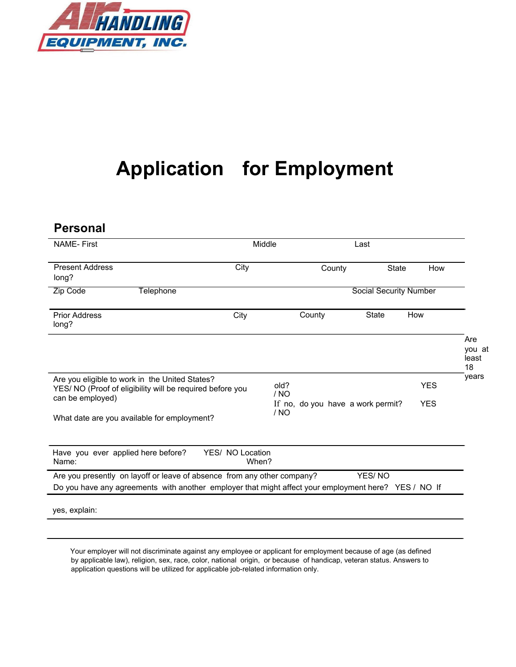

## **Application for Employment**

| <b>Personal</b>                                                                                                                                                                 |                           |                                           |                               |            |                              |
|---------------------------------------------------------------------------------------------------------------------------------------------------------------------------------|---------------------------|-------------------------------------------|-------------------------------|------------|------------------------------|
| <b>NAME-First</b>                                                                                                                                                               | Middle                    |                                           | Last                          |            |                              |
| <b>Present Address</b><br>long?                                                                                                                                                 | City                      | County                                    | <b>State</b>                  | How        |                              |
| Zip Code<br><b>Telephone</b>                                                                                                                                                    |                           |                                           | <b>Social Security Number</b> |            |                              |
| <b>Prior Address</b><br>long?                                                                                                                                                   | City                      | County                                    | <b>State</b>                  | How        |                              |
|                                                                                                                                                                                 |                           |                                           |                               |            | Are<br>you at<br>least<br>18 |
| Are you eligible to work in the United States?<br>YES/ NO (Proof of eligibility will be required before you                                                                     |                           | old?<br>/ NO                              |                               | <b>YES</b> | years                        |
| can be employed)<br>What date are you available for employment?                                                                                                                 |                           | If no, do you have a work permit?<br>/ NO |                               | <b>YES</b> |                              |
|                                                                                                                                                                                 |                           |                                           |                               |            |                              |
| Have you ever applied here before?<br>Name:                                                                                                                                     | YES/ NO Location<br>When? |                                           |                               |            |                              |
| Are you presently on layoff or leave of absence from any other company?<br>Do you have any agreements with another employer that might affect your employment here? YES / NO If |                           |                                           | YES/NO                        |            |                              |
| yes, explain:                                                                                                                                                                   |                           |                                           |                               |            |                              |

Your employer will not discriminate against any employee or applicant for employment because of age (as defined by applicable law), religion, sex, race, color, national origin, or because of handicap, veteran status. Answers to application questions will be utilized for applicable job-related information only.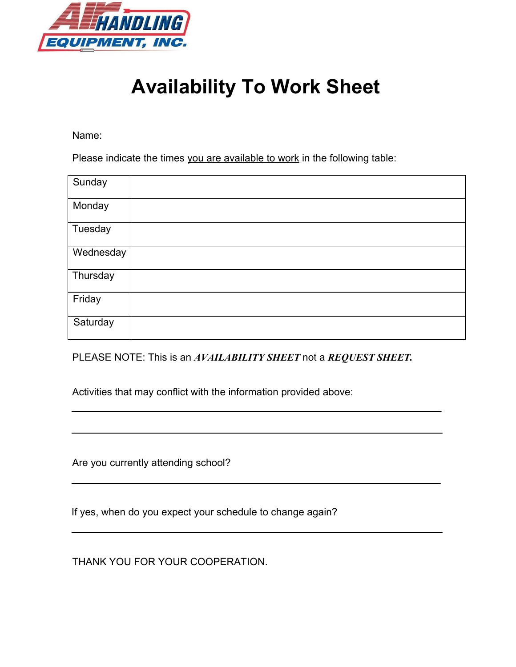

### **Availability To Work Sheet**

Name:

Please indicate the times you are available to work in the following table:

| Sunday    |  |
|-----------|--|
| Monday    |  |
| Tuesday   |  |
| Wednesday |  |
| Thursday  |  |
| Friday    |  |
| Saturday  |  |

PLEASE NOTE: This is an *AVAILABILITY SHEET* not a *REQUEST SHEET.*

Activities that may conflict with the information provided above:

Are you currently attending school?

If yes, when do you expect your schedule to change again?

THANK YOU FOR YOUR COOPERATION.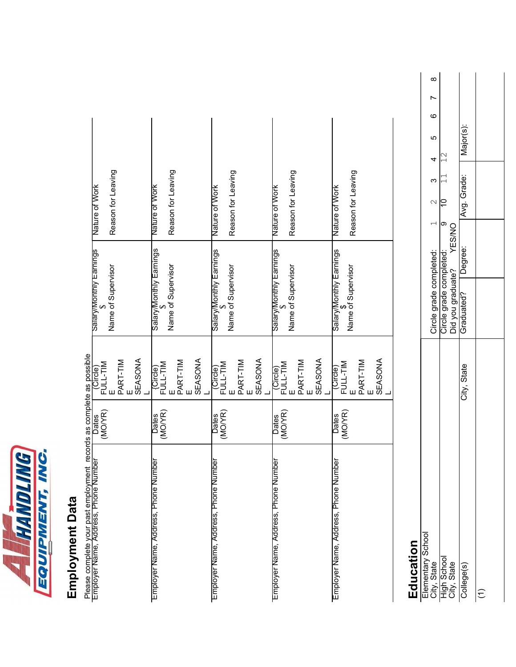

# Employment Data **Employment Data**

Please complete your past employment records as complete as possible Please complete your past employment records as complete as possible<br>- molever Name, Adress Phone Number

| Employer Name, Address, Phone Number | Dates<br>(MO/YR)        | FULL-TIM                                                                      | salary/Monthly Earnings                       | Nature of Work     |
|--------------------------------------|-------------------------|-------------------------------------------------------------------------------|-----------------------------------------------|--------------------|
|                                      |                         |                                                                               | Name of Supervisor                            | Reason for Leaving |
|                                      |                         | PART-TIM                                                                      |                                               |                    |
|                                      |                         | SEASONA                                                                       |                                               |                    |
| Employer Name, Address, Phone Number | (MO/YR)<br><b>Dates</b> | FULL-TIM                                                                      | Salary/Monthly Earnings<br>\$                 | Nature of Work     |
|                                      |                         | PART-TIM                                                                      | Name of Supervisor                            | Reason for Leaving |
|                                      |                         | SEASONA                                                                       |                                               |                    |
| Employer Name, Address, Phone Number | (MOYR)<br><b>Dates</b>  | $\begin{array}{c}\n\text{(Circle)}\\ \text{FUL-TIM} \\ \text{E}\n\end{array}$ | Salary/Monthly Earnings                       | Nature of Work     |
|                                      |                         |                                                                               | Name of Supervisor                            | Reason for Leaving |
|                                      |                         | I PART-TIM<br>E                                                               |                                               |                    |
|                                      |                         | SEASONA                                                                       |                                               |                    |
| Employer Name, Address, Phone Number | Dates<br>(MO/YR)        | FULL-TIM                                                                      | Salary/Monthly Earnings                       | Nature of Work     |
|                                      |                         | PART-TIM                                                                      | Name of Supervisor                            | Reason for Leaving |
|                                      |                         |                                                                               |                                               |                    |
|                                      |                         | SEASONA                                                                       |                                               |                    |
| Employer Name, Address, Phone Number | (MOYR)<br><b>Dates</b>  | Circle)<br>FULL-TIM                                                           | Salary/Monthly Earnings<br>Name of Supervisor | Nature of Work     |
|                                      |                         | PART-TIM<br>E                                                                 |                                               | Reason for Leaving |
|                                      |                         | SEASONA                                                                       |                                               |                    |
|                                      |                         |                                                                               |                                               |                    |

# **Education**

|                                                                              | Circle grade completed: |               | 2 | ო           | 4 | ю        | ဖ | $\infty$ |
|------------------------------------------------------------------------------|-------------------------|---------------|---|-------------|---|----------|---|----------|
|                                                                              | Circle grade completed: |               |   |             |   |          |   |          |
| Elementary School<br>City, State<br>High School<br>City, State<br>College(s) | Did you graduate?       | <b>YES/NO</b> |   |             |   |          |   |          |
| City, State                                                                  | Graduated?              | Degree:       |   | Avg. Grade: |   | lajor(s) |   |          |
|                                                                              |                         |               |   |             |   |          |   |          |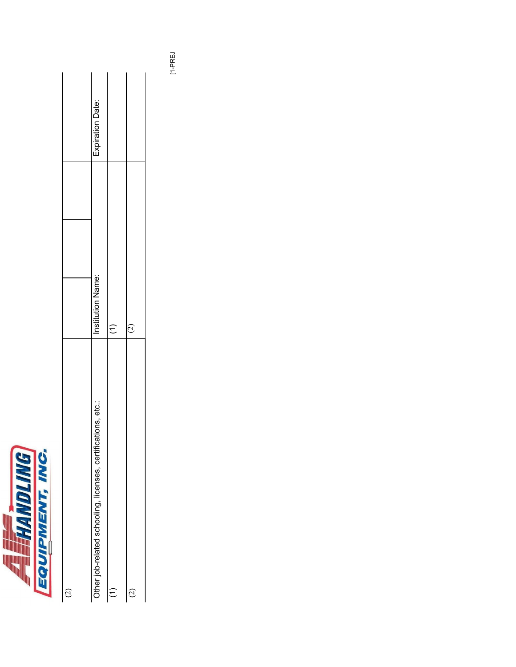

| $\widehat{\Omega}$                                           |                   |                  |
|--------------------------------------------------------------|-------------------|------------------|
| Other job-related schooling, licenses, certifications, etc.: | Institution Name: | Expiration Date: |
| Ξ                                                            | Ξ                 |                  |
| <u>ر،</u><br>٢                                               | ć<br>J            |                  |

[1-PREJ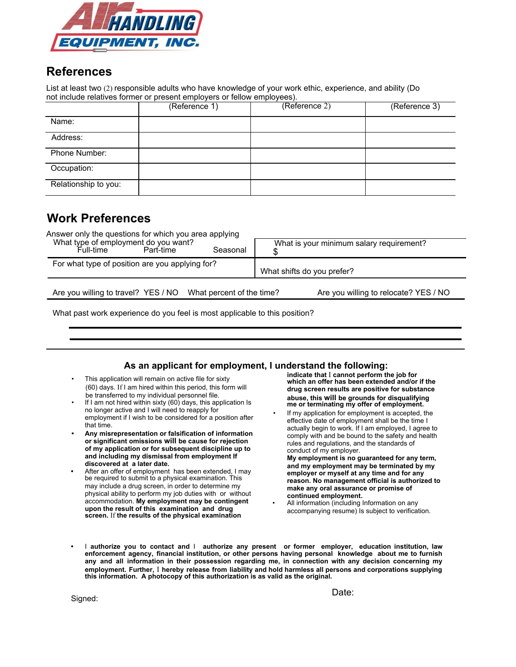

### **References**

List at least two (2) responsible adults who have knowledge of your work ethic, experience, and ability (Do not include relatives former or present employers or fellow employees).

|                      | (Reference 1) | (Reference 2) | (Reference 3) |
|----------------------|---------------|---------------|---------------|
| Name:                |               |               |               |
| Address:             |               |               |               |
| Phone Number:        |               |               |               |
| Occupation:          |               |               |               |
| Relationship to you: |               |               |               |

### **Work Preferences**

| Answer only the questions for which you area applying<br>What type of employment do you want?<br>Part-time<br>Full-time<br>Seasonal | What is your minimum salary requirement? |  |
|-------------------------------------------------------------------------------------------------------------------------------------|------------------------------------------|--|
| For what type of position are you applying for?                                                                                     | What shifts do you prefer?               |  |
| Are you willing to travel? YES / NO What percent of the time?                                                                       | Are you willing to relocate? YES / NO    |  |

What past work experience do you feel is most applicable to this position?

#### **As an applicant for employment, I understand the following:**

- This application will remain on active file for sixty (60) days. If I am hired within this period, this form will be transferred to my individual personnel file.
- If I am not hired within sixty (60) days, this application Is no longer active and I will need to reapply for employment if I wish to be considered for a position after that time.
- **• Any misrepresentation or falsification of information or significant omissions will be cause for rejection of my application or for subsequent discipline up to and including my dismissal from employment If discovered at a later date.**
- **•** After an offer of employment has been extended, I may be required to submit to a physical examination. This may include a drug screen, in order to determine my physical ability to perform my job duties with or without accommodation. **My employment may be contingent upon the result of this examination and drug screen.** If **the results of the physical examination**

**indicate that** I **cannot perform the job for which an offer has been extended and/or if the drug screen results are positive for substance abuse, this will be grounds for disqualifying me or terminating my offer of employment.**

If my application for employment is accepted, the effective date of employment shall be the time I actually begin to work. If I am employed, I agree to comply with and be bound to the safety and health rules and regulations, and the standards of conduct of my employer.

**My employment is no guaranteed for any term, and my employment may be terminated by my employer or myself at any time and for any reason. No management official is authorized to make any oral assurance or promise of continued employment.**

- All information (including Information on any accompanying resume) Is subject to verification.
- **•** I **authorize you to contact and** I **authorize any present or former employer, education institution, law enforcement agency, financial institution, or other persons having personal knowledge about me to furnish any and all information in their possession regarding me, in connection with any decision concerning my employment. Further,** I **hereby release from liability and hold harmless all persons and corporations supplying this information. A photocopy of this authorization is as valid as the original.**

Signed:

Date: